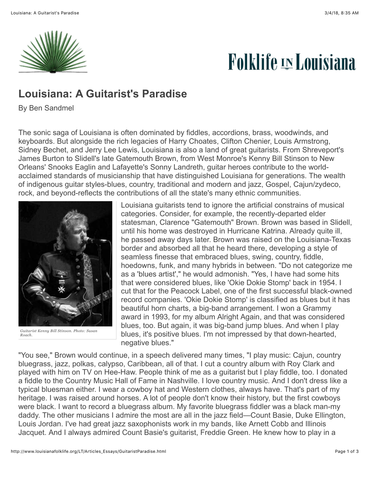

## **Folklife <u>in</u> Louisiana**

## **Louisiana: A Guitarist's Paradise**

By Ben Sandmel

The sonic saga of Louisiana is often dominated by fiddles, accordions, brass, woodwinds, and keyboards. But alongside the rich legacies of Harry Choates, Clifton Chenier, Louis Armstrong, Sidney Bechet, and Jerry Lee Lewis, Louisiana is also a land of great guitarists. From Shreveport's James Burton to Slidell's late Gatemouth Brown, from West Monroe's Kenny Bill Stinson to New Orleans' Snooks Eaglin and Lafayette's Sonny Landreth, guitar heroes contribute to the worldacclaimed standards of musicianship that have distinguished Louisiana for generations. The wealth of indigenous guitar styles-blues, country, traditional and modern and jazz, Gospel, Cajun/zydeco, rock, and beyond-reflects the contributions of all the state's many ethnic communities.



*Guitarist Kenny Bill Stinson. Photo: Susan Roach.*

Louisiana guitarists tend to ignore the artificial constrains of musical categories. Consider, for example, the recently-departed elder statesman, Clarence "Gatemouth" Brown. Brown was based in Slidell, until his home was destroyed in Hurricane Katrina. Already quite ill, he passed away days later. Brown was raised on the Louisiana-Texas border and absorbed all that he heard there, developing a style of seamless finesse that embraced blues, swing, country, fiddle, hoedowns, funk, and many hybrids in between. "Do not categorize me as a 'blues artist'," he would admonish. "Yes, I have had some hits that were considered blues, like 'Okie Dokie Stomp' back in 1954. I cut that for the Peacock Label, one of the first successful black-owned record companies. 'Okie Dokie Stomp' is classified as blues but it has beautiful horn charts, a big-band arrangement. I won a Grammy award in 1993, for my album Alright Again, and that was considered blues, too. But again, it was big-band jump blues. And when I play blues, it's positive blues. I'm not impressed by that down-hearted, negative blues."

"You see," Brown would continue, in a speech delivered many times, "I play music: Cajun, country bluegrass, jazz, polkas, calypso, Caribbean, all of that. I cut a country album with Roy Clark and played with him on TV on Hee-Haw. People think of me as a guitarist but I play fiddle, too. I donated a fiddle to the Country Music Hall of Fame in Nashville. I love country music. And I don't dress like a typical bluesman either. I wear a cowboy hat and Western clothes, always have. That's part of my heritage. I was raised around horses. A lot of people don't know their history, but the first cowboys were black. I want to record a bluegrass album. My favorite bluegrass fiddler was a black man-my daddy. The other musicians I admire the most are all in the jazz field—Count Basie, Duke Ellington, Louis Jordan. I've had great jazz saxophonists work in my bands, like Arnett Cobb and Illinois Jacquet. And I always admired Count Basie's guitarist, Freddie Green. He knew how to play in a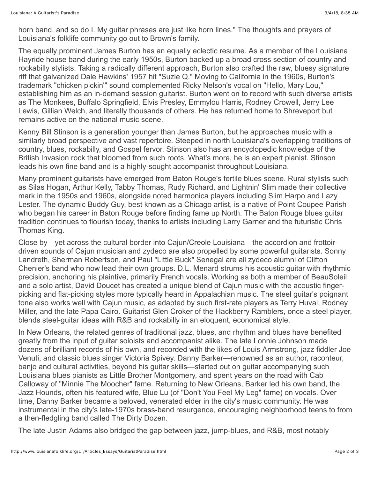horn band, and so do I. My guitar phrases are just like horn lines." The thoughts and prayers of Louisiana's folklife community go out to Brown's family.

The equally prominent James Burton has an equally eclectic resume. As a member of the Louisiana Hayride house band during the early 1950s, Burton backed up a broad cross section of country and rockabilly stylists. Taking a radically different approach, Burton also crafted the raw, bluesy signature riff that galvanized Dale Hawkins' 1957 hit "Suzie Q." Moving to California in the 1960s, Burton's trademark "chicken pickin'" sound complemented Ricky Nelson's vocal on "Hello, Mary Lou," establishing him as an in-demand session guitarist. Burton went on to record with such diverse artists as The Monkees, Buffalo Springfield, Elvis Presley, Emmylou Harris, Rodney Crowell, Jerry Lee Lewis, Gillian Welch, and literally thousands of others. He has returned home to Shreveport but remains active on the national music scene.

Kenny Bill Stinson is a generation younger than James Burton, but he approaches music with a similarly broad perspective and vast repertoire. Steeped in north Louisiana's overlapping traditions of country, blues, rockabilly, and Gospel fervor, Stinson also has an encyclopedic knowledge of the British Invasion rock that bloomed from such roots. What's more, he is an expert pianist. Stinson leads his own fine band and is a highly-sought accompanist throughout Louisiana.

Many prominent guitarists have emerged from Baton Rouge's fertile blues scene. Rural stylists such as Silas Hogan, Arthur Kelly, Tabby Thomas, Rudy Richard, and Lightnin' Slim made their collective mark in the 1950s and 1960s, alongside noted harmonica players including Slim Harpo and Lazy Lester. The dynamic Buddy Guy, best known as a Chicago artist, is a native of Point Coupee Parish who began his career in Baton Rouge before finding fame up North. The Baton Rouge blues guitar tradition continues to flourish today, thanks to artists including Larry Garner and the futuristic Chris Thomas King.

Close by—yet across the cultural border into Cajun/Creole Louisiana—the accordion and frottoirdriven sounds of Cajun musician and zydeco are also propelled by some powerful guitarists. Sonny Landreth, Sherman Robertson, and Paul "Little Buck" Senegal are all zydeco alumni of Clifton Chenier's band who now lead their own groups. D.L. Menard strums his acoustic guitar with rhythmic precision, anchoring his plaintive, primarily French vocals. Working as both a member of BeauSoleil and a solo artist, David Doucet has created a unique blend of Cajun music with the acoustic fingerpicking and flat-picking styles more typically heard in Appalachian music. The steel guitar's poignant tone also works well with Cajun music, as adapted by such first-rate players as Terry Huval, Rodney Miller, and the late Papa Cairo. Guitarist Glen Croker of the Hackberry Ramblers, once a steel player, blends steel-guitar ideas with R&B and rockabilly in an eloquent, economical style.

In New Orleans, the related genres of traditional jazz, blues, and rhythm and blues have benefited greatly from the input of guitar soloists and accompanist alike. The late Lonnie Johnson made dozens of brilliant records of his own, and recorded with the likes of Louis Armstrong, jazz fiddler Joe Venuti, and classic blues singer Victoria Spivey. Danny Barker—renowned as an author, raconteur, banjo and cultural activities, beyond his guitar skills—started out on guitar accompanying such Louisiana blues pianists as Little Brother Montgomery, and spent years on the road with Cab Calloway of "Minnie The Moocher" fame. Returning to New Orleans, Barker led his own band, the Jazz Hounds, often his featured wife, Blue Lu (of "Don't You Feel My Leg" fame) on vocals. Over time, Danny Barker became a beloved, venerated elder in the city's music community. He was instrumental in the city's late-1970s brass-band resurgence, encouraging neighborhood teens to from a then-fledgling band called The Dirty Dozen.

The late Justin Adams also bridged the gap between jazz, jump-blues, and R&B, most notably